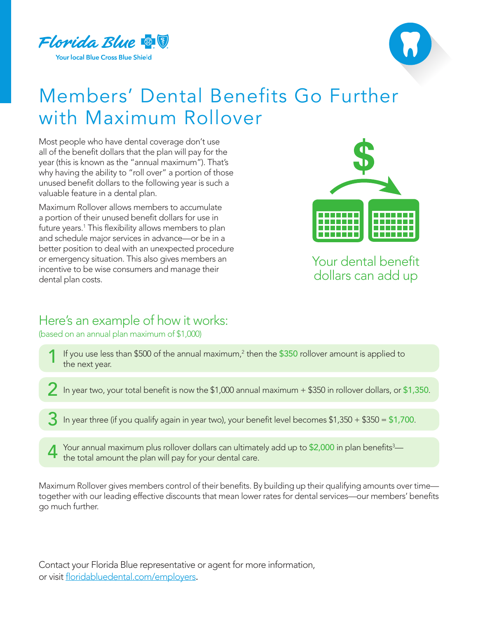



## Members' Dental Benefits Go Further with Maximum Rollover

Most people who have dental coverage don't use all of the benefit dollars that the plan will pay for the year (this is known as the "annual maximum"). That's why having the ability to "roll over" a portion of those unused benefit dollars to the following year is such a valuable feature in a dental plan.

Maximum Rollover allows members to accumulate a portion of their unused benefit dollars for use in future years.<sup>1</sup> This flexibility allows members to plan and schedule major services in advance—or be in a better position to deal with an unexpected procedure or emergency situation. This also gives members an incentive to be wise consumers and manage their dental plan costs.



Your dental benefit dollars can add up

## Here's an example of how it works:

(based on an annual plan maximum of \$1,000)

- If you use less than \$500 of the annual maximum,<sup>2</sup> then the \$350 rollover amount is applied to the next year.
- 2 In year two, your total benefit is now the \$1,000 annual maximum + \$350 in rollover dollars, or \$1,350.
- In year three (if you qualify again in year two), your benefit level becomes  $$1,350 + $350 = $1,700$ .
- 4 Your annual maximum plus rollover dollars can ultimately add up to \$2,000 in plan benefits<sup>3</sup>—<br>the total amount the plan will pay for your dental care. the total amount the plan will pay for your dental care.

Maximum Rollover gives members control of their benefits. By building up their qualifying amounts over time together with our leading effective discounts that mean lower rates for dental services—our members' benefits go much further.

Contact your Florida Blue representative or agent for more information, or visit [floridabluedental.com/employers](http://floridabluedental.com/employers).